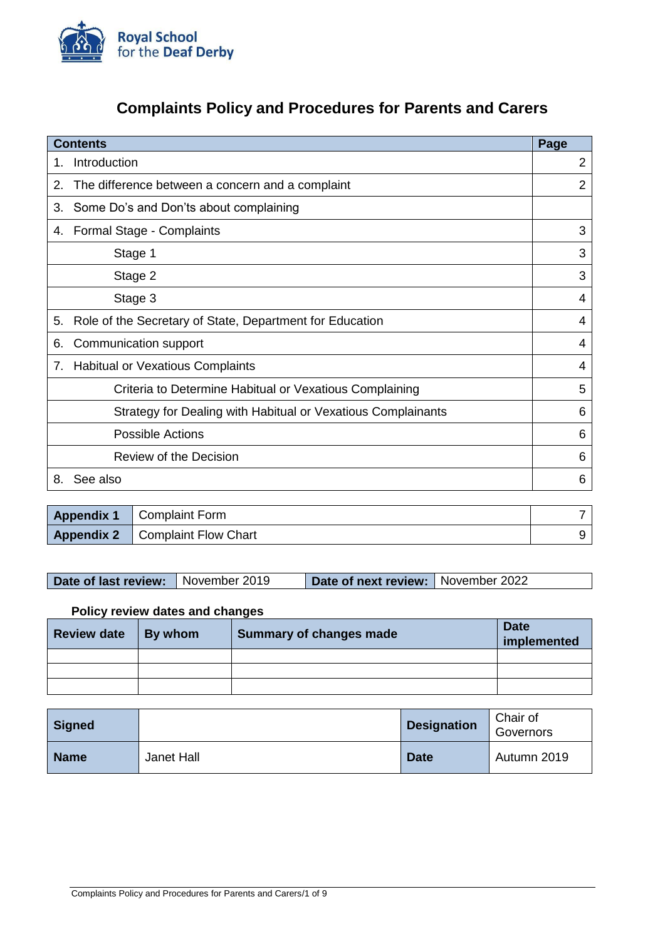

# **Complaints Policy and Procedures for Parents and Carers**

|    | <b>Contents</b>                                              | Page           |
|----|--------------------------------------------------------------|----------------|
| 1. | Introduction                                                 | $\overline{2}$ |
| 2. | The difference between a concern and a complaint             | 2              |
| 3. | Some Do's and Don'ts about complaining                       |                |
| 4. | Formal Stage - Complaints                                    | 3              |
|    | Stage 1                                                      | 3              |
|    | Stage 2                                                      | 3              |
|    | Stage 3                                                      | 4              |
| 5. | Role of the Secretary of State, Department for Education     | 4              |
| 6. | Communication support                                        | 4              |
| 7. | <b>Habitual or Vexatious Complaints</b>                      | 4              |
|    | Criteria to Determine Habitual or Vexatious Complaining      | 5              |
|    | Strategy for Dealing with Habitual or Vexatious Complainants | 6              |
|    | <b>Possible Actions</b>                                      | 6              |
|    | <b>Review of the Decision</b>                                | 6              |
| 8. | See also                                                     | 6              |
|    |                                                              |                |

| <b>Appendix 1</b>   Complaint Form       |  |
|------------------------------------------|--|
| <b>Appendix 2</b>   Complaint Flow Chart |  |

| Date of last review: November 2019 | Date of next review: November 2022 |  |
|------------------------------------|------------------------------------|--|
|                                    |                                    |  |

## **Policy review dates and changes**

| <b>Review date</b> | $\vert$ By whom | Summary of changes made | <b>Date</b><br>implemented |
|--------------------|-----------------|-------------------------|----------------------------|
|                    |                 |                         |                            |
|                    |                 |                         |                            |
|                    |                 |                         |                            |

| <b>Signed</b> |            | <b>Designation</b> | Chair of<br>Governors |
|---------------|------------|--------------------|-----------------------|
| <b>Name</b>   | Janet Hall | <b>Date</b>        | Autumn 2019           |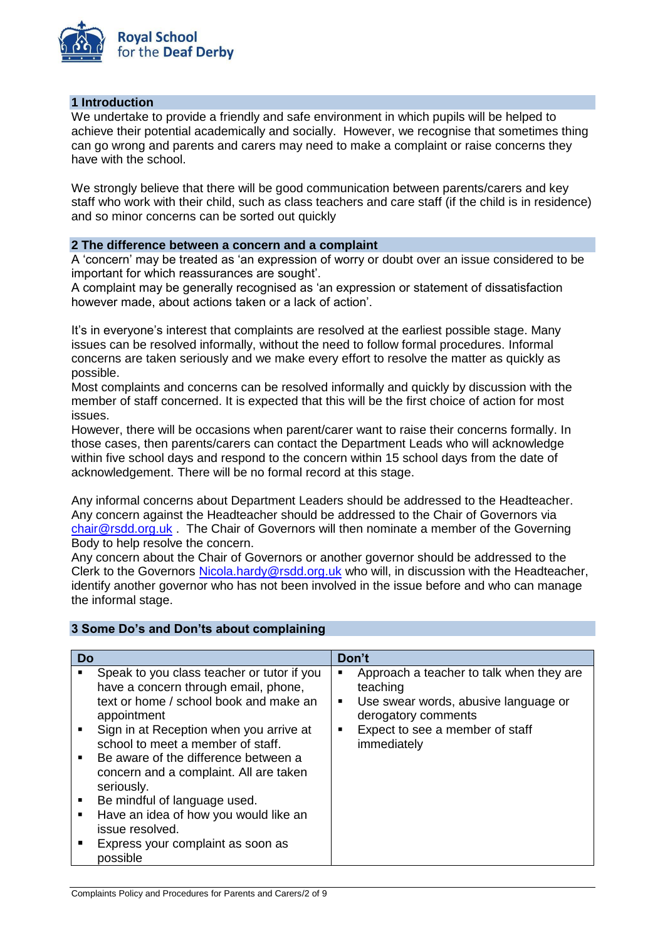

### **1 Introduction**

We undertake to provide a friendly and safe environment in which pupils will be helped to achieve their potential academically and socially. However, we recognise that sometimes thing can go wrong and parents and carers may need to make a complaint or raise concerns they have with the school.

We strongly believe that there will be good communication between parents/carers and key staff who work with their child, such as class teachers and care staff (if the child is in residence) and so minor concerns can be sorted out quickly

### **2 The difference between a concern and a complaint**

A 'concern' may be treated as 'an expression of worry or doubt over an issue considered to be important for which reassurances are sought'.

A complaint may be generally recognised as 'an expression or statement of dissatisfaction however made, about actions taken or a lack of action'.

It's in everyone's interest that complaints are resolved at the earliest possible stage. Many issues can be resolved informally, without the need to follow formal procedures. Informal concerns are taken seriously and we make every effort to resolve the matter as quickly as possible.

Most complaints and concerns can be resolved informally and quickly by discussion with the member of staff concerned. It is expected that this will be the first choice of action for most issues.

However, there will be occasions when parent/carer want to raise their concerns formally. In those cases, then parents/carers can contact the Department Leads who will acknowledge within five school days and respond to the concern within 15 school days from the date of acknowledgement. There will be no formal record at this stage.

Any informal concerns about Department Leaders should be addressed to the Headteacher. Any concern against the Headteacher should be addressed to the Chair of Governors via  $\frac{\text{chair@rsdd.org.uk}}{\text{c}$  $\frac{\text{chair@rsdd.org.uk}}{\text{c}$  $\frac{\text{chair@rsdd.org.uk}}{\text{c}$ . The Chair of Governors will then nominate a member of the Governing Body to help resolve the concern.

Any concern about the Chair of Governors or another governor should be addressed to the Clerk to the Governors [Nicola.hardy@rsdd.org.uk](mailto:Nicola.hardy@rsdd.org.uk) who will, in discussion with the Headteacher, identify another governor who has not been involved in the issue before and who can manage the informal stage.

## **3 Some Do's and Don'ts about complaining**

| Do |                                                                                                                                                                                                                                                                                                                                                                                                                                                                          | Don't       |                                                                                                                                                                       |
|----|--------------------------------------------------------------------------------------------------------------------------------------------------------------------------------------------------------------------------------------------------------------------------------------------------------------------------------------------------------------------------------------------------------------------------------------------------------------------------|-------------|-----------------------------------------------------------------------------------------------------------------------------------------------------------------------|
|    | Speak to you class teacher or tutor if you<br>have a concern through email, phone,<br>text or home / school book and make an<br>appointment<br>Sign in at Reception when you arrive at<br>school to meet a member of staff.<br>Be aware of the difference between a<br>concern and a complaint. All are taken<br>seriously.<br>Be mindful of language used.<br>Have an idea of how you would like an<br>issue resolved.<br>Express your complaint as soon as<br>possible | ■<br>٠<br>٠ | Approach a teacher to talk when they are<br>teaching<br>Use swear words, abusive language or<br>derogatory comments<br>Expect to see a member of staff<br>immediately |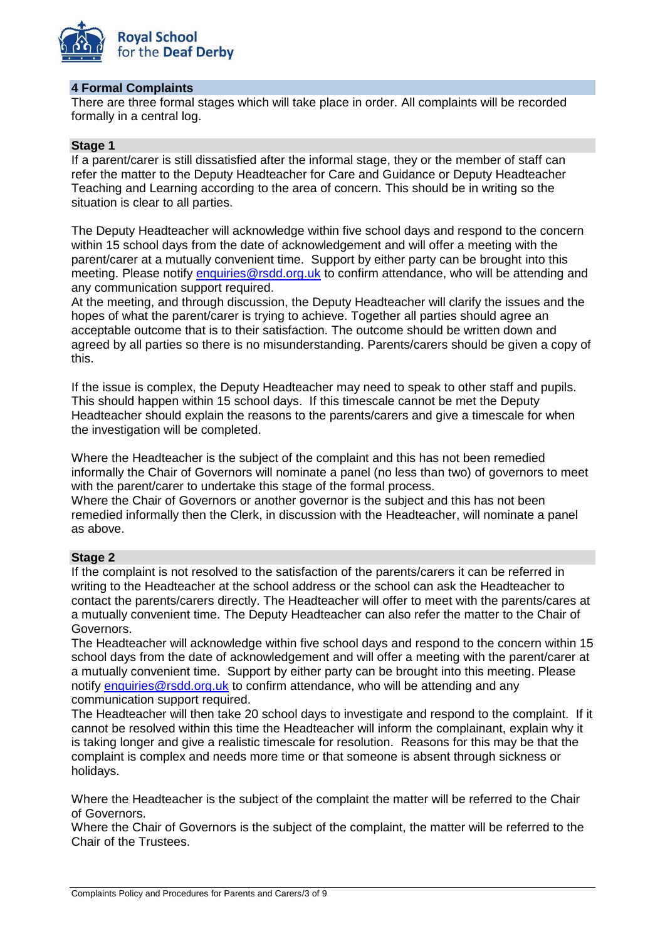

#### **4 Formal Complaints**

There are three formal stages which will take place in order. All complaints will be recorded formally in a central log.

## **Stage 1**

If a parent/carer is still dissatisfied after the informal stage, they or the member of staff can refer the matter to the Deputy Headteacher for Care and Guidance or Deputy Headteacher Teaching and Learning according to the area of concern. This should be in writing so the situation is clear to all parties.

The Deputy Headteacher will acknowledge within five school days and respond to the concern within 15 school days from the date of acknowledgement and will offer a meeting with the parent/carer at a mutually convenient time. Support by either party can be brought into this meeting. Please notify [enquiries@rsdd.org.uk](mailto:enquiries@rsdd.org.uk) to confirm attendance, who will be attending and any communication support required.

At the meeting, and through discussion, the Deputy Headteacher will clarify the issues and the hopes of what the parent/carer is trying to achieve. Together all parties should agree an acceptable outcome that is to their satisfaction. The outcome should be written down and agreed by all parties so there is no misunderstanding. Parents/carers should be given a copy of this.

If the issue is complex, the Deputy Headteacher may need to speak to other staff and pupils. This should happen within 15 school days. If this timescale cannot be met the Deputy Headteacher should explain the reasons to the parents/carers and give a timescale for when the investigation will be completed.

Where the Headteacher is the subject of the complaint and this has not been remedied informally the Chair of Governors will nominate a panel (no less than two) of governors to meet with the parent/carer to undertake this stage of the formal process. Where the Chair of Governors or another governor is the subject and this has not been remedied informally then the Clerk, in discussion with the Headteacher, will nominate a panel

## **Stage 2**

as above.

If the complaint is not resolved to the satisfaction of the parents/carers it can be referred in writing to the Headteacher at the school address or the school can ask the Headteacher to contact the parents/carers directly. The Headteacher will offer to meet with the parents/cares at a mutually convenient time. The Deputy Headteacher can also refer the matter to the Chair of Governors.

The Headteacher will acknowledge within five school days and respond to the concern within 15 school days from the date of acknowledgement and will offer a meeting with the parent/carer at a mutually convenient time. Support by either party can be brought into this meeting. Please notify [enquiries@rsdd.org.uk](mailto:enquiries@rsdd.org.uk) to confirm attendance, who will be attending and any communication support required.

The Headteacher will then take 20 school days to investigate and respond to the complaint. If it cannot be resolved within this time the Headteacher will inform the complainant, explain why it is taking longer and give a realistic timescale for resolution. Reasons for this may be that the complaint is complex and needs more time or that someone is absent through sickness or holidays.

Where the Headteacher is the subject of the complaint the matter will be referred to the Chair of Governors.

Where the Chair of Governors is the subject of the complaint, the matter will be referred to the Chair of the Trustees.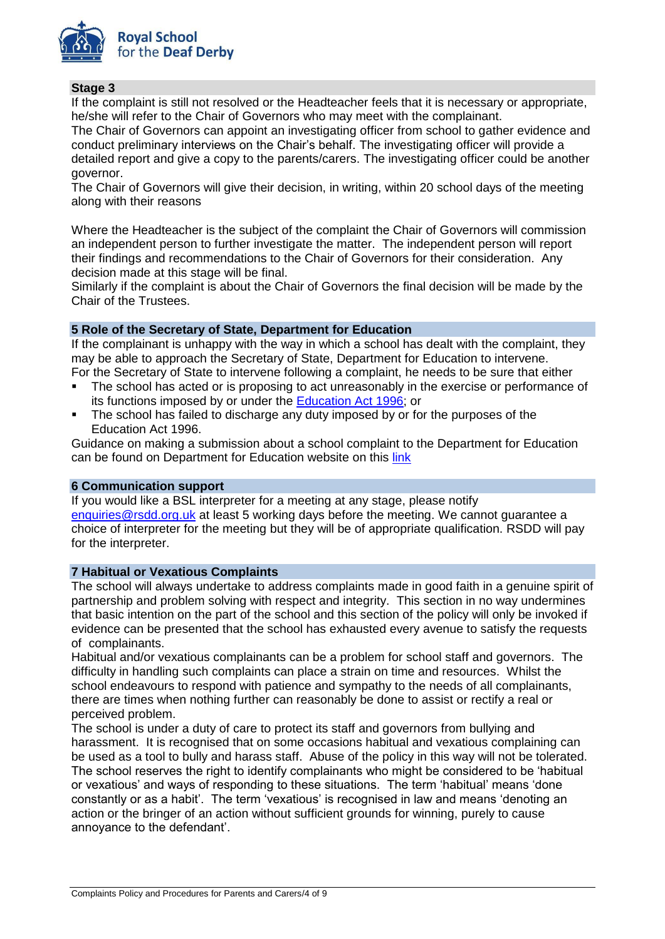

## **Stage 3**

If the complaint is still not resolved or the Headteacher feels that it is necessary or appropriate, he/she will refer to the Chair of Governors who may meet with the complainant.

The Chair of Governors can appoint an investigating officer from school to gather evidence and conduct preliminary interviews on the Chair's behalf. The investigating officer will provide a detailed report and give a copy to the parents/carers. The investigating officer could be another governor.

The Chair of Governors will give their decision, in writing, within 20 school days of the meeting along with their reasons

Where the Headteacher is the subject of the complaint the Chair of Governors will commission an independent person to further investigate the matter. The independent person will report their findings and recommendations to the Chair of Governors for their consideration. Any decision made at this stage will be final.

Similarly if the complaint is about the Chair of Governors the final decision will be made by the Chair of the Trustees.

### **5 Role of the Secretary of State, Department for Education**

If the complainant is unhappy with the way in which a school has dealt with the complaint, they may be able to approach the Secretary of State, Department for Education to intervene. For the Secretary of State to intervene following a complaint, he needs to be sure that either

- The school has acted or is proposing to act unreasonably in the exercise or performance of its functions imposed by or under the [Education Act 1996;](http://www.legislation.gov.uk/ukpga/1996/56/contents) or
- The school has failed to discharge any duty imposed by or for the purposes of the Education Act 1996.

Guidance on making a submission about a school complaint to the Department for Education can be found on Department for Education website on this [link](https://www.gov.uk/complain-about-school/sen-complaints)

#### **6 Communication support**

If you would like a BSL interpreter for a meeting at any stage, please notify [enquiries@rsdd.org.uk](mailto:enquiries@rsdd.org.uk) at least 5 working days before the meeting. We cannot guarantee a choice of interpreter for the meeting but they will be of appropriate qualification. RSDD will pay for the interpreter.

#### **7 Habitual or Vexatious Complaints**

The school will always undertake to address complaints made in good faith in a genuine spirit of partnership and problem solving with respect and integrity. This section in no way undermines that basic intention on the part of the school and this section of the policy will only be invoked if evidence can be presented that the school has exhausted every avenue to satisfy the requests of complainants.

Habitual and/or vexatious complainants can be a problem for school staff and governors. The difficulty in handling such complaints can place a strain on time and resources. Whilst the school endeavours to respond with patience and sympathy to the needs of all complainants, there are times when nothing further can reasonably be done to assist or rectify a real or perceived problem.

The school is under a duty of care to protect its staff and governors from bullying and harassment. It is recognised that on some occasions habitual and vexatious complaining can be used as a tool to bully and harass staff. Abuse of the policy in this way will not be tolerated. The school reserves the right to identify complainants who might be considered to be 'habitual or vexatious' and ways of responding to these situations. The term 'habitual' means 'done constantly or as a habit'. The term 'vexatious' is recognised in law and means 'denoting an action or the bringer of an action without sufficient grounds for winning, purely to cause annoyance to the defendant'.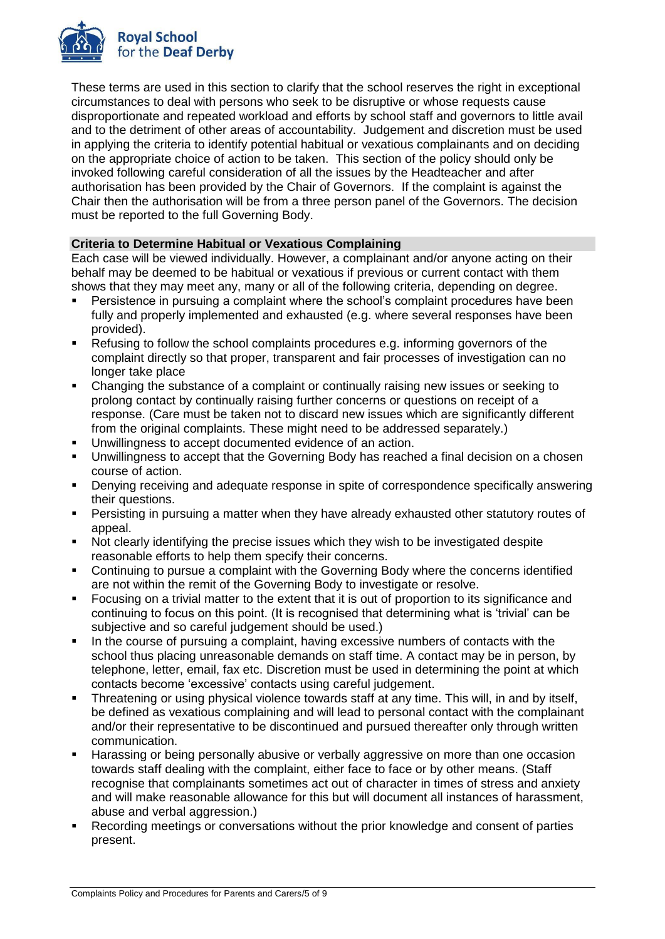

These terms are used in this section to clarify that the school reserves the right in exceptional circumstances to deal with persons who seek to be disruptive or whose requests cause disproportionate and repeated workload and efforts by school staff and governors to little avail and to the detriment of other areas of accountability. Judgement and discretion must be used in applying the criteria to identify potential habitual or vexatious complainants and on deciding on the appropriate choice of action to be taken. This section of the policy should only be invoked following careful consideration of all the issues by the Headteacher and after authorisation has been provided by the Chair of Governors. If the complaint is against the Chair then the authorisation will be from a three person panel of the Governors. The decision must be reported to the full Governing Body.

## **Criteria to Determine Habitual or Vexatious Complaining**

Each case will be viewed individually. However, a complainant and/or anyone acting on their behalf may be deemed to be habitual or vexatious if previous or current contact with them shows that they may meet any, many or all of the following criteria, depending on degree.

- Persistence in pursuing a complaint where the school's complaint procedures have been fully and properly implemented and exhausted (e.g. where several responses have been provided).
- Refusing to follow the school complaints procedures e.g. informing governors of the complaint directly so that proper, transparent and fair processes of investigation can no longer take place
- Changing the substance of a complaint or continually raising new issues or seeking to prolong contact by continually raising further concerns or questions on receipt of a response. (Care must be taken not to discard new issues which are significantly different from the original complaints. These might need to be addressed separately.)
- Unwillingness to accept documented evidence of an action.
- Unwillingness to accept that the Governing Body has reached a final decision on a chosen course of action.
- Denying receiving and adequate response in spite of correspondence specifically answering their questions.
- **Persisting in pursuing a matter when they have already exhausted other statutory routes of** appeal.
- Not clearly identifying the precise issues which they wish to be investigated despite reasonable efforts to help them specify their concerns.
- Continuing to pursue a complaint with the Governing Body where the concerns identified are not within the remit of the Governing Body to investigate or resolve.
- Focusing on a trivial matter to the extent that it is out of proportion to its significance and continuing to focus on this point. (It is recognised that determining what is 'trivial' can be subjective and so careful judgement should be used.)
- In the course of pursuing a complaint, having excessive numbers of contacts with the school thus placing unreasonable demands on staff time. A contact may be in person, by telephone, letter, email, fax etc. Discretion must be used in determining the point at which contacts become 'excessive' contacts using careful judgement.
- Threatening or using physical violence towards staff at any time. This will, in and by itself, be defined as vexatious complaining and will lead to personal contact with the complainant and/or their representative to be discontinued and pursued thereafter only through written communication.
- Harassing or being personally abusive or verbally aggressive on more than one occasion towards staff dealing with the complaint, either face to face or by other means. (Staff recognise that complainants sometimes act out of character in times of stress and anxiety and will make reasonable allowance for this but will document all instances of harassment, abuse and verbal aggression.)
- Recording meetings or conversations without the prior knowledge and consent of parties present.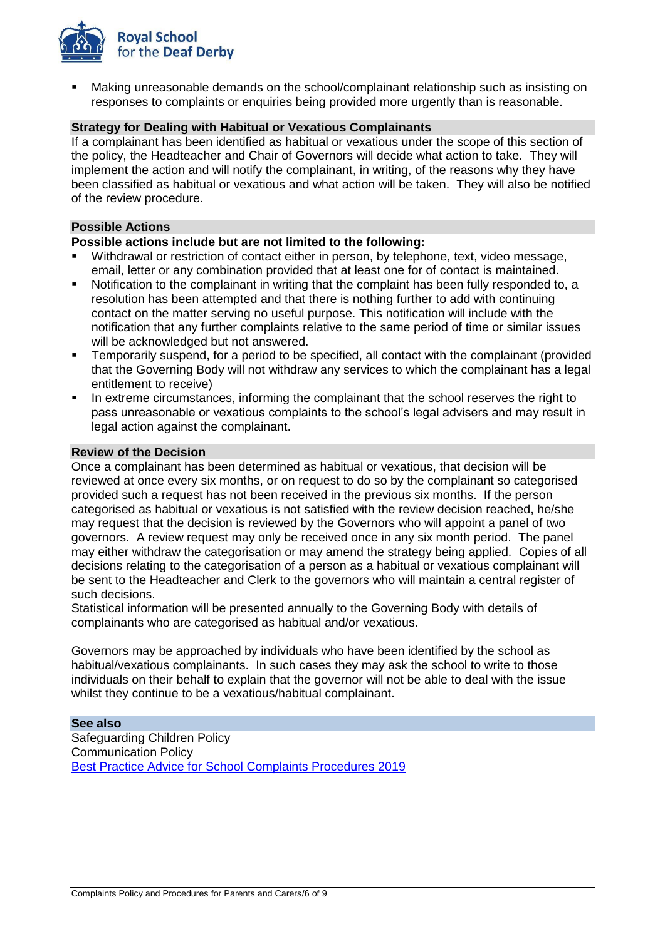

 Making unreasonable demands on the school/complainant relationship such as insisting on responses to complaints or enquiries being provided more urgently than is reasonable.

## **Strategy for Dealing with Habitual or Vexatious Complainants**

If a complainant has been identified as habitual or vexatious under the scope of this section of the policy, the Headteacher and Chair of Governors will decide what action to take. They will implement the action and will notify the complainant, in writing, of the reasons why they have been classified as habitual or vexatious and what action will be taken. They will also be notified of the review procedure.

#### **Possible Actions**

#### **Possible actions include but are not limited to the following:**

- Withdrawal or restriction of contact either in person, by telephone, text, video message, email, letter or any combination provided that at least one for of contact is maintained.
- Notification to the complainant in writing that the complaint has been fully responded to, a resolution has been attempted and that there is nothing further to add with continuing contact on the matter serving no useful purpose. This notification will include with the notification that any further complaints relative to the same period of time or similar issues will be acknowledged but not answered.
- Temporarily suspend, for a period to be specified, all contact with the complainant (provided that the Governing Body will not withdraw any services to which the complainant has a legal entitlement to receive)
- In extreme circumstances, informing the complainant that the school reserves the right to pass unreasonable or vexatious complaints to the school's legal advisers and may result in legal action against the complainant.

#### **Review of the Decision**

Once a complainant has been determined as habitual or vexatious, that decision will be reviewed at once every six months, or on request to do so by the complainant so categorised provided such a request has not been received in the previous six months. If the person categorised as habitual or vexatious is not satisfied with the review decision reached, he/she may request that the decision is reviewed by the Governors who will appoint a panel of two governors. A review request may only be received once in any six month period. The panel may either withdraw the categorisation or may amend the strategy being applied. Copies of all decisions relating to the categorisation of a person as a habitual or vexatious complainant will be sent to the Headteacher and Clerk to the governors who will maintain a central register of such decisions.

Statistical information will be presented annually to the Governing Body with details of complainants who are categorised as habitual and/or vexatious.

Governors may be approached by individuals who have been identified by the school as habitual/vexatious complainants. In such cases they may ask the school to write to those individuals on their behalf to explain that the governor will not be able to deal with the issue whilst they continue to be a vexatious/habitual complainant.

#### **See also**

Safeguarding Children Policy Communication Policy [Best Practice Advice for School Complaints Procedures 2019](https://www.gov.uk/government/publications/school-complaints-procedures/best-practice-advice-for-school-complaints-procedures-2019)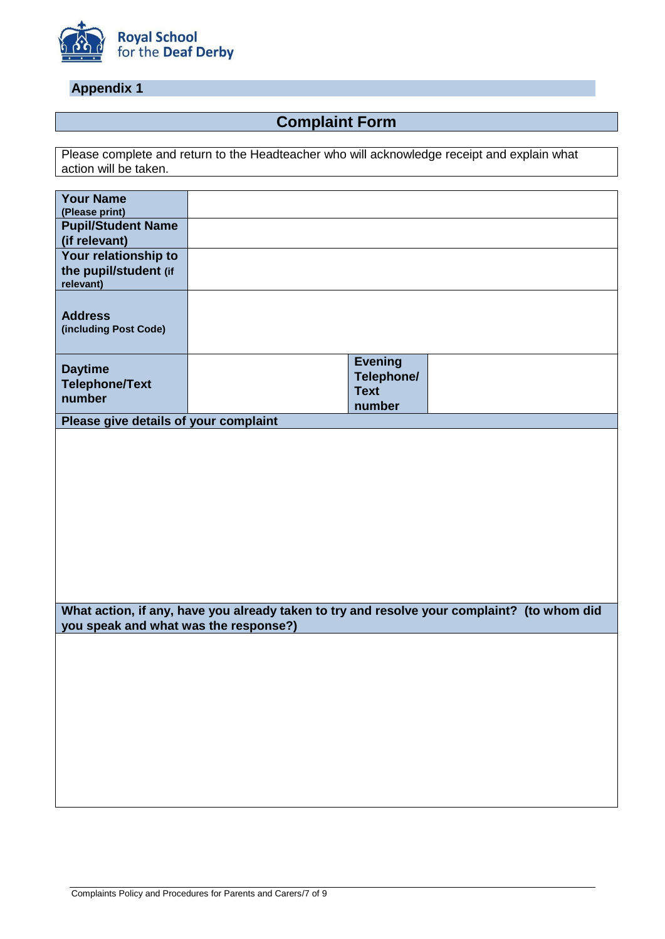

# **Appendix 1**

# **Complaint Form**

Please complete and return to the Headteacher who will acknowledge receipt and explain what action will be taken.

| <b>Your Name</b><br>(Please print)                         |                                                                                             |  |
|------------------------------------------------------------|---------------------------------------------------------------------------------------------|--|
| <b>Pupil/Student Name</b><br>(if relevant)                 |                                                                                             |  |
| Your relationship to<br>the pupil/student (if<br>relevant) |                                                                                             |  |
| <b>Address</b><br>(including Post Code)                    |                                                                                             |  |
| <b>Daytime</b><br><b>Telephone/Text</b>                    | <b>Evening</b><br>Telephone/<br><b>Text</b>                                                 |  |
| number                                                     | number                                                                                      |  |
| Please give details of your complaint                      |                                                                                             |  |
|                                                            |                                                                                             |  |
|                                                            |                                                                                             |  |
| you speak and what was the response?)                      | What action, if any, have you already taken to try and resolve your complaint? (to whom did |  |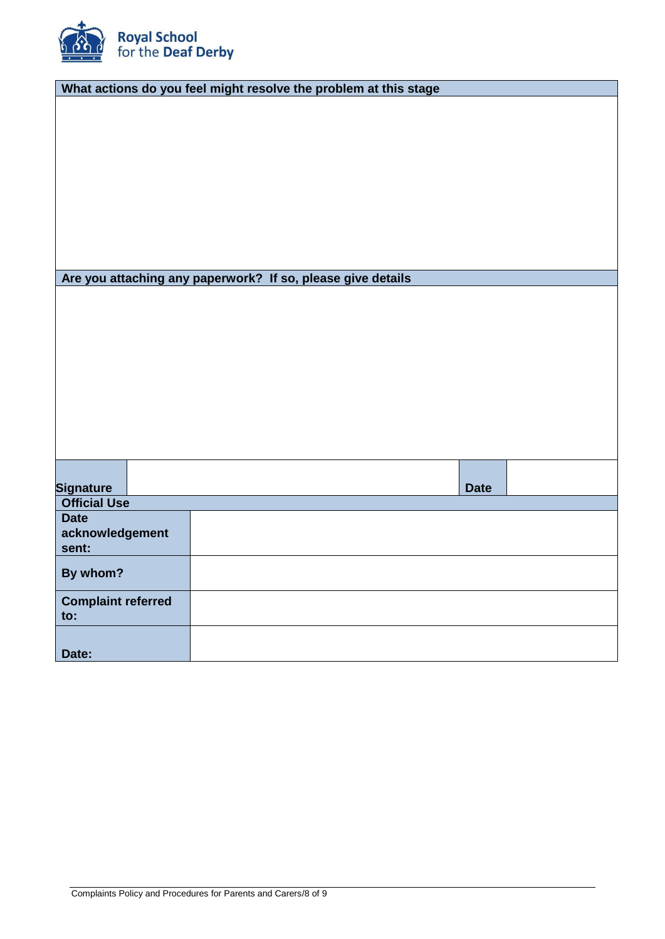

| What actions do you feel might resolve the problem at this stage |                                                             |             |  |  |  |  |
|------------------------------------------------------------------|-------------------------------------------------------------|-------------|--|--|--|--|
|                                                                  |                                                             |             |  |  |  |  |
|                                                                  |                                                             |             |  |  |  |  |
|                                                                  |                                                             |             |  |  |  |  |
|                                                                  |                                                             |             |  |  |  |  |
|                                                                  |                                                             |             |  |  |  |  |
|                                                                  |                                                             |             |  |  |  |  |
|                                                                  |                                                             |             |  |  |  |  |
|                                                                  |                                                             |             |  |  |  |  |
|                                                                  |                                                             |             |  |  |  |  |
|                                                                  |                                                             |             |  |  |  |  |
|                                                                  |                                                             |             |  |  |  |  |
|                                                                  | Are you attaching any paperwork? If so, please give details |             |  |  |  |  |
|                                                                  |                                                             |             |  |  |  |  |
|                                                                  |                                                             |             |  |  |  |  |
|                                                                  |                                                             |             |  |  |  |  |
|                                                                  |                                                             |             |  |  |  |  |
|                                                                  |                                                             |             |  |  |  |  |
|                                                                  |                                                             |             |  |  |  |  |
|                                                                  |                                                             |             |  |  |  |  |
|                                                                  |                                                             |             |  |  |  |  |
|                                                                  |                                                             |             |  |  |  |  |
|                                                                  |                                                             |             |  |  |  |  |
|                                                                  |                                                             |             |  |  |  |  |
|                                                                  |                                                             |             |  |  |  |  |
|                                                                  |                                                             |             |  |  |  |  |
| <b>Signature</b>                                                 |                                                             | <b>Date</b> |  |  |  |  |
| <b>Official Use</b>                                              |                                                             |             |  |  |  |  |
| <b>Date</b>                                                      |                                                             |             |  |  |  |  |
| acknowledgement                                                  |                                                             |             |  |  |  |  |
| sent:                                                            |                                                             |             |  |  |  |  |
|                                                                  |                                                             |             |  |  |  |  |
| By whom?                                                         |                                                             |             |  |  |  |  |
| <b>Complaint referred</b>                                        |                                                             |             |  |  |  |  |
| to:                                                              |                                                             |             |  |  |  |  |
|                                                                  |                                                             |             |  |  |  |  |
|                                                                  |                                                             |             |  |  |  |  |
| Date:                                                            |                                                             |             |  |  |  |  |